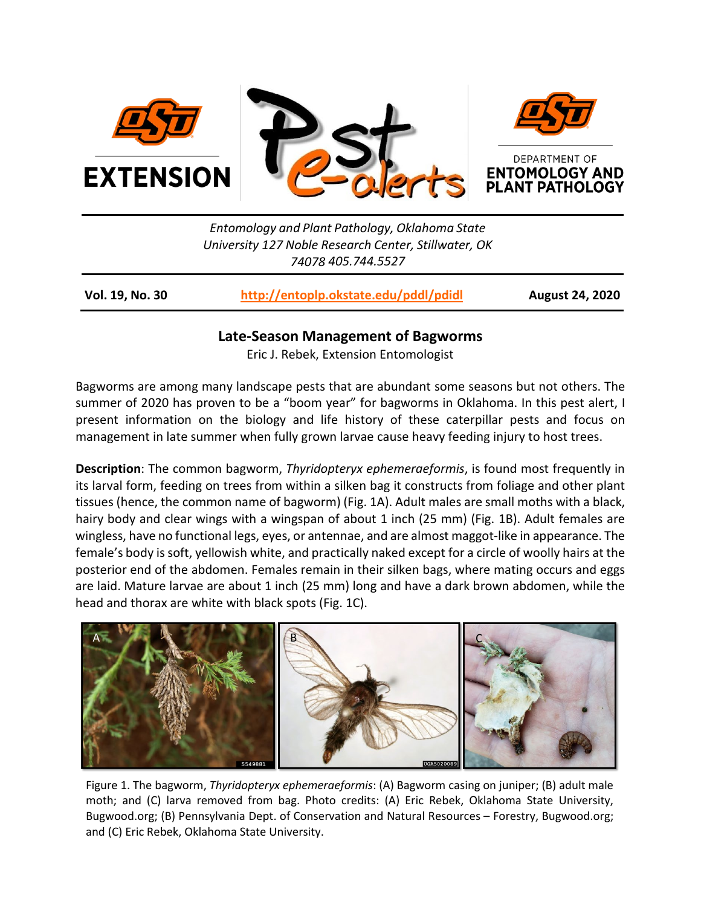

*Entomology and Plant Pathology, Oklahoma State University 127 Noble Research Center, Stillwater, OK 74078 405.744.5527*

**Vol. 19, No. 30 <http://entoplp.okstate.edu/pddl/pdidl> August 24, 2020**

## **Late-Season Management of Bagworms**

Eric J. Rebek, Extension Entomologist

Bagworms are among many landscape pests that are abundant some seasons but not others. The summer of 2020 has proven to be a "boom year" for bagworms in Oklahoma. In this pest alert, I present information on the biology and life history of these caterpillar pests and focus on management in late summer when fully grown larvae cause heavy feeding injury to host trees.

**Description**: The common bagworm, *Thyridopteryx ephemeraeformis*, is found most frequently in its larval form, feeding on trees from within a silken bag it constructs from foliage and other plant tissues (hence, the common name of bagworm) (Fig. 1A). Adult males are small moths with a black, hairy body and clear wings with a wingspan of about 1 inch (25 mm) (Fig. 1B). Adult females are wingless, have no functional legs, eyes, or antennae, and are almost maggot-like in appearance. The female's body is soft, yellowish white, and practically naked except for a circle of woolly hairs at the posterior end of the abdomen. Females remain in their silken bags, where mating occurs and eggs are laid. Mature larvae are about 1 inch (25 mm) long and have a dark brown abdomen, while the head and thorax are white with black spots (Fig. 1C).



Figure 1. The bagworm, *Thyridopteryx ephemeraeformis*: (A) Bagworm casing on juniper; (B) adult male moth; and (C) larva removed from bag. Photo credits: (A) Eric Rebek, Oklahoma State University, Bugwood.org; (B) Pennsylvania Dept. of Conservation and Natural Resources – Forestry, Bugwood.org; and (C) Eric Rebek, Oklahoma State University.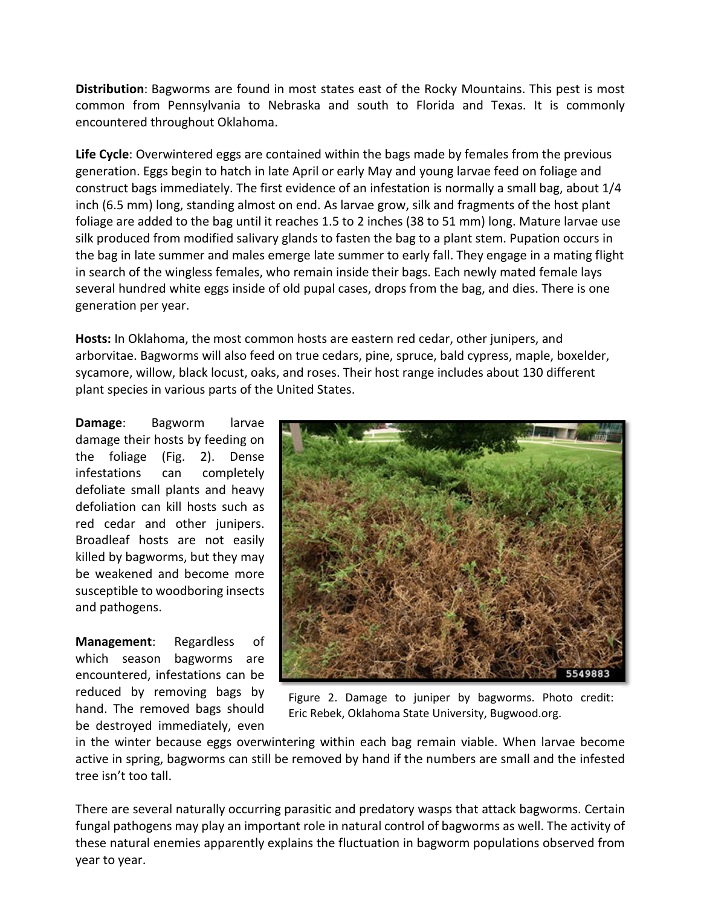**Distribution**: Bagworms are found in most states east of the Rocky Mountains. This pest is most common from Pennsylvania to Nebraska and south to Florida and Texas. It is commonly encountered throughout Oklahoma.

**Life Cycle**: Overwintered eggs are contained within the bags made by females from the previous generation. Eggs begin to hatch in late April or early May and young larvae feed on foliage and construct bags immediately. The first evidence of an infestation is normally a small bag, about 1/4 inch (6.5 mm) long, standing almost on end. As larvae grow, silk and fragments of the host plant foliage are added to the bag until it reaches 1.5 to 2 inches (38 to 51 mm) long. Mature larvae use silk produced from modified salivary glands to fasten the bag to a plant stem. Pupation occurs in the bag in late summer and males emerge late summer to early fall. They engage in a mating flight in search of the wingless females, who remain inside their bags. Each newly mated female lays several hundred white eggs inside of old pupal cases, drops from the bag, and dies. There is one generation per year.

**Hosts:** In Oklahoma, the most common hosts are eastern red cedar, other junipers, and arborvitae. Bagworms will also feed on true cedars, pine, spruce, bald cypress, maple, boxelder, sycamore, willow, black locust, oaks, and roses. Their host range includes about 130 different plant species in various parts of the United States.

**Damage**: Bagworm larvae damage their hosts by feeding on the foliage (Fig. 2). Dense infestations can completely defoliate small plants and heavy defoliation can kill hosts such as red cedar and other junipers. Broadleaf hosts are not easily killed by bagworms, but they may be weakened and become more susceptible to woodboring insects and pathogens.

**Management**: Regardless of which season bagworms are encountered, infestations can be reduced by removing bags by hand. The removed bags should be destroyed immediately, even



Figure 2. Damage to juniper by bagworms. Photo credit: Eric Rebek, Oklahoma State University, Bugwood.org.

in the winter because eggs overwintering within each bag remain viable. When larvae become active in spring, bagworms can still be removed by hand if the numbers are small and the infested tree isn't too tall.

There are several naturally occurring parasitic and predatory wasps that attack bagworms. Certain fungal pathogens may play an important role in natural control of bagworms as well. The activity of these natural enemies apparently explains the fluctuation in bagworm populations observed from year to year.